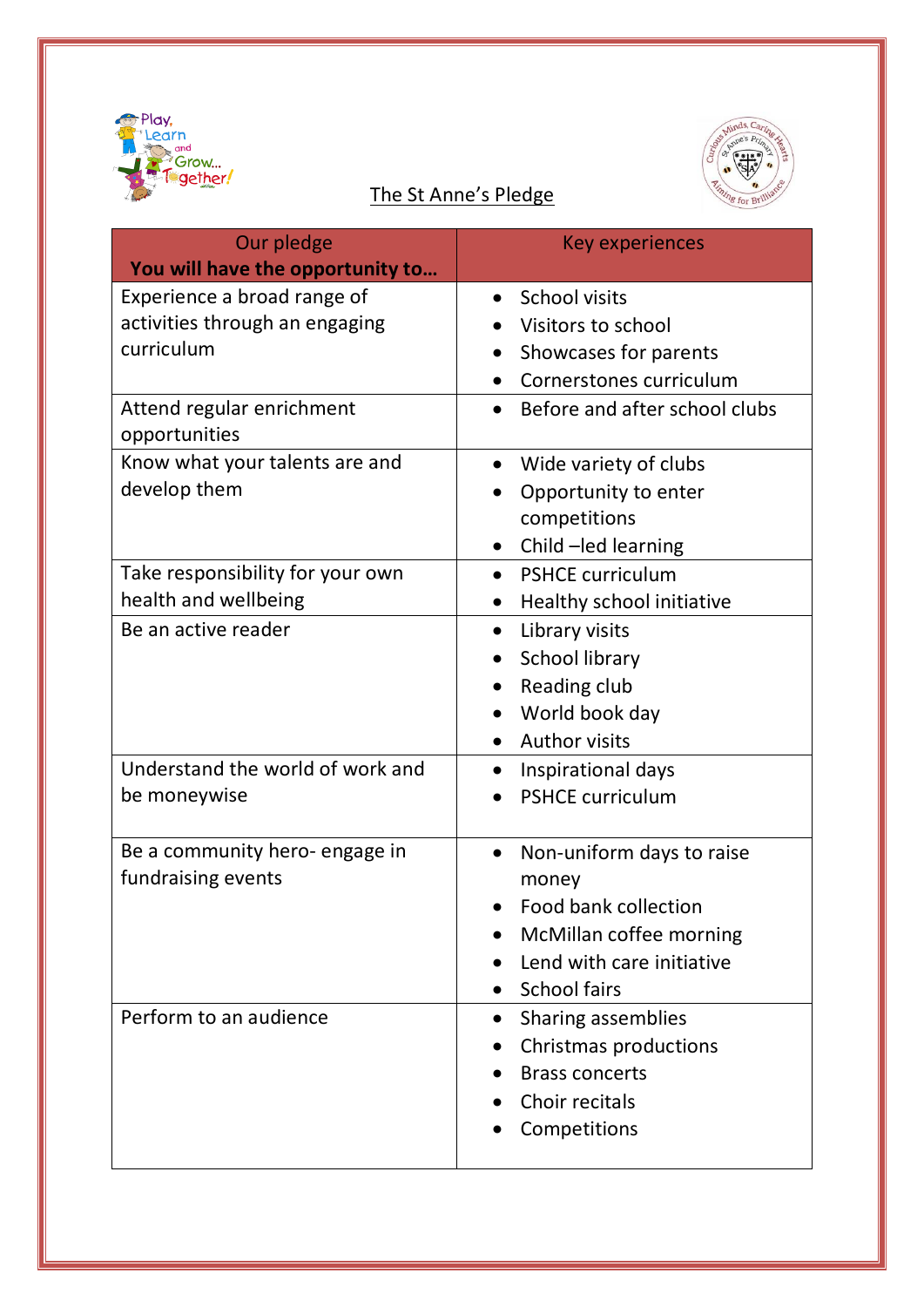



| Our pledge                       | <b>Key experiences</b>                     |
|----------------------------------|--------------------------------------------|
| You will have the opportunity to |                                            |
| Experience a broad range of      | <b>School visits</b>                       |
| activities through an engaging   | Visitors to school                         |
| curriculum                       | Showcases for parents                      |
|                                  | Cornerstones curriculum                    |
| Attend regular enrichment        | Before and after school clubs<br>$\bullet$ |
| opportunities                    |                                            |
| Know what your talents are and   | Wide variety of clubs<br>$\bullet$         |
| develop them                     | Opportunity to enter                       |
|                                  | competitions                               |
|                                  | Child-led learning<br>$\bullet$            |
| Take responsibility for your own | <b>PSHCE curriculum</b><br>$\bullet$       |
| health and wellbeing             | Healthy school initiative<br>$\bullet$     |
| Be an active reader              | Library visits<br>$\bullet$                |
|                                  | School library<br>$\bullet$                |
|                                  | Reading club<br>$\bullet$                  |
|                                  | World book day<br>$\bullet$                |
|                                  | <b>Author visits</b>                       |
| Understand the world of work and | Inspirational days<br>$\bullet$            |
| be moneywise                     | <b>PSHCE curriculum</b>                    |
|                                  |                                            |
| Be a community hero- engage in   | Non-uniform days to raise<br>$\bullet$     |
| fundraising events               | money                                      |
|                                  | Food bank collection                       |
|                                  | McMillan coffee morning                    |
|                                  | Lend with care initiative                  |
|                                  | <b>School fairs</b>                        |
| Perform to an audience           | Sharing assemblies                         |
|                                  | Christmas productions                      |
|                                  | <b>Brass concerts</b>                      |
|                                  | Choir recitals                             |
|                                  | Competitions                               |
|                                  |                                            |